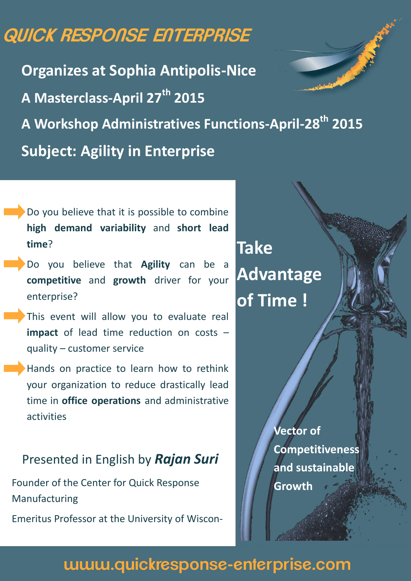# **QUICK RESPONSE ENTERPRISE**

**Organizes at Sophia Antipolis-Nice A Masterclass-April 27th 2015 A Workshop Administratives Functions-April-28th 2015 Subject: Agility in Enterprise**

- Do you believe that it is possible to combine **high demand variability** and **short lead time**?
- Do you believe that **Agility** can be a **competitive** and **growth** driver for your enterprise?
- This event will allow you to evaluate real **impact** of lead time reduction on costs – quality – customer service
- Hands on practice to learn how to rethink your organization to reduce drastically lead time in **office operations** and administrative activities

# Presented in English by *Rajan Suri*

Founder of the Center for Quick Response Manufacturing

Emeritus Professor at the University of Wiscon-

**Take Advantage of Time !**

> **Vector of Competitiveness and sustainable Growth**

# **[www.quickresponse-enterprise.com](http://www.quickresponse-enterprise.com)**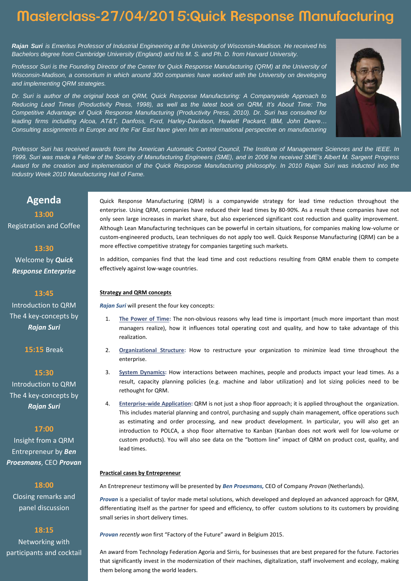# **Masterclass-27/04/2015:Quick Response Manufacturing**

**Rajan Suri** is Emeritus Professor of Industrial Engineering at the University of Wisconsin-Madison. He received his Bachelors degree from Cambridge University (England) and his M. S. and Ph. D. from Harvard University.

Professor Suri is the Founding Director of the Center for Quick Response Manufacturing (QRM) at the University of Wisconsin-Madison, a consortium in which around 300 companies have worked with the University on developing and implementing QRM strategies.

Dr. Suri is author of the original book on QRM, Quick Response Manufacturing: A Companywide Approach to *Reducing Lead Times (Productivity Press, 1998), as well as the latest book on QRM, It's About Time: The*  Competitive Advantage of Quick Response Manufacturing (Productivity Press, 2010). Dr. Suri has consulted for leading firms including Alcoa, AT&T, Danfoss, Ford, Harley-*Davidson, Hewlett Packard, IBM, John Deere…* Consulting assignments in Europe and the Far East have given him an international perspective on manufacturing



Professor Suri has received awards from the American Automatic Control Council, The Institute of Management Sciences and the IEEE. In *1999, Suri was made a Fellow of the Society of Manufacturing Engineers (SME), and in 2006 he received SME's Albert M. Sargent* Progress Award for the creation and implementation of the Quick Response Manufacturing philosophy. In 2010 Rajan Suri was inducted into the Industry Week 2010 Manufacturing Hall of Fame.

### **Agenda 13:00**

# Registration and Coffee

#### **13:30**

Welcome by *Quick Response Enterprise*

#### **13:45**

Introduction to QRM The 4 key-concepts by *Rajan Suri*

**15:15** Break

### **15:30**

Introduction to QRM The 4 key-concepts by *Rajan Suri*

#### **17:00**

Insight from a QRM Entrepreneur by *Ben Proesmans*, CEO *Provan*

#### **18:00**

Closing remarks and panel discussion

#### **18:15**

Networking with participants and cocktail

Quick Response Manufacturing (QRM) is a companywide strategy for lead time reduction throughout the enterprise. Using QRM, companies have reduced their lead times by 80-90%. As a result these companies have not only seen large increases in market share, but also experienced significant cost reduction and quality improvement. Although Lean Manufacturing techniques can be powerful in certain situations, for companies making low-volume or custom-engineered products, Lean techniques do not apply too well. Quick Response Manufacturing (QRM) can be a more effective competitive strategy for companies targeting such markets.

In addition, companies find that the lead time and cost reductions resulting from QRM enable them to compete effectively against low-wage countries.

#### **Strategy and QRM concepts**

*Rajan Suri* will present the four key concepts:

- 1. **The Power of Time:** The non-obvious reasons why lead time is important (much more important than most managers realize), how it influences total operating cost and quality, and how to take advantage of this realization.
- 2. **Organizational Structure:** How to restructure your organization to minimize lead time throughout the enterprise.
- 3. **System Dynamics:** How interactions between machines, people and products impact your lead times. As a result, capacity planning policies (e.g. machine and labor utilization) and lot sizing policies need to be rethought for QRM.
- 4. **Enterprise-wide Application:** QRM is not just a shop floor approach; it is applied throughout the organization. This includes material planning and control, purchasing and supply chain management, office operations such as estimating and order processing, and new product development. In particular, you will also get an introduction to POLCA, a shop floor alternative to Kanban (Kanban does not work well for low-volume or custom products). You will also see data on the "bottom line" impact of QRM on product cost, quality, and lead times.

#### **Practical cases by Entrepreneur**

An Entrepreneur testimony will be presented by *Ben Proesmans,* CEO of Company *Provan* (Netherlands).

*Provan* is a specialist of taylor made metal solutions, which developed and deployed an advanced approach for QRM, differentiating itself as the partner for speed and efficiency, to offer custom solutions to its customers by providing small series in short delivery times.

*Provan recently won* first "Factory of the Future" award in Belgium 2015.

An award from Technology Federation Agoria and Sirris, for businesses that are best prepared for the future. Factories that significantly invest in the modernization of their machines, digitalization, staff involvement and ecology, making them belong among the world leaders.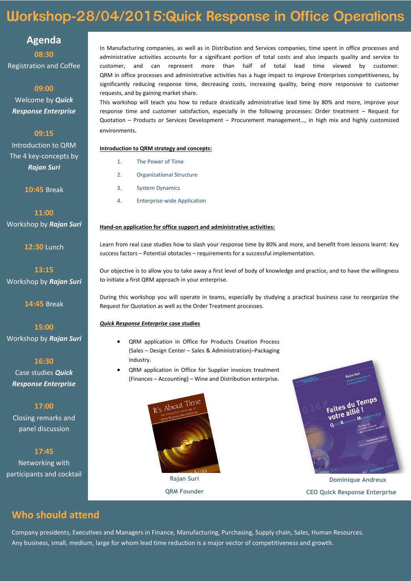# **Workshop-28/04/2015:Quick Response in Office Operations**

**Agenda**

**08:30** Registration and Coffee

**09:00** Welcome by *Quick Response Enterprise*

**09:15**

Introduction to QRM The 4 key-concepts by *Rajan Suri*

**10:45** Break

**11:00** Workshop by *Rajan Suri* 

**12:30** Lunch

**13:15** Workshop by *Rajan Suri* 

**14:45** Break

**15:00** Workshop by *Rajan Suri* 

**16:30**

Case studies *Quick Response Enterprise*

**17:00**

Closing remarks and panel discussion

**17:45**

Networking with participants and cocktail

**Who should attend**

In Manufacturing companies, as well as in Distribution and Services companies, time spent in office processes and administrative activities accounts for a significant portion of total costs and also impacts quality and service to customer, and can represent more than half of total lead time viewed by customer. QRM in office processes and administrative activities has a huge impact to improve Enterprises competitiveness, by significantly reducing response time, decreasing costs, increasing quality, being more responsive to customer requests, and by gaining market share.

This workshop will teach you how to reduce drastically administrative lead time by 80% and more, improve your response time and customer satisfaction, especially in the following processes: Order treatment – Request for Quotation – Products or Services Development – Procurement management…, in high mix and highly customized environments.

#### **Introduction to QRM strategy and concepts:**

- 1. The Power of Time
- 2. Organizational Structure
- 3. System Dynamics
- 4. Enterprise-wide Application

#### **Hand-on application for office support and administrative activities:**

Learn from real case studies how to slash your response time by 80% and more, and benefit from lessons learnt: Key success factors – Potential obstacles – requirements for a successful implementation.

Our objective is to allow you to take away a first level of body of knowledge and practice, and to have the willingness to initiate a first QRM approach in your enterprise.

During this workshop you will operate in teams, especially by studying a practical business case to reorganize the Request for Quotation as well as the Order Treatment processes.

#### *Quick Response Enterprise* **case studies**

- QRM application in Office for Products Creation Process (Sales – Design Center – Sales & Administration)–Packaging Industry.
- QRM application in Office for Supplier invoices treatment (Finances – Accounting) – Wine and Distribution enterprise.



**QRM Founder**



**Dominique Andreux CEO Quick Response Enterprise**

Company presidents, Executives and Managers in Finance, Manufacturing, Purchasing, Supply chain, Sales, Human Resources. Any business, small, medium, large for whom lead time reduction is a major vector of competitiveness and growth.